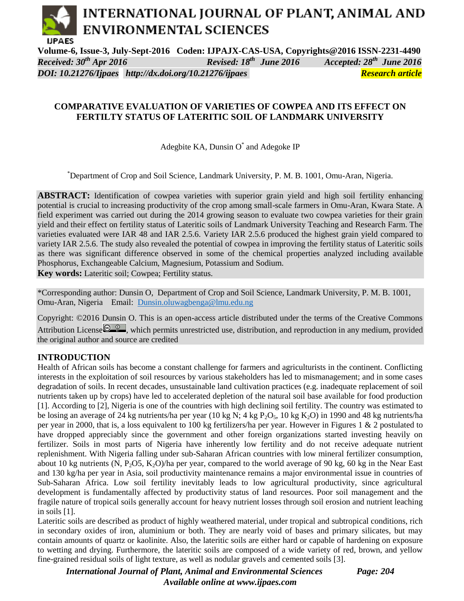# INTERNATIONAL JOURNAL OF PLANT, ANIMAL AND **ENVIRONMENTAL SCIENCES IJPAES**

**Volume-6, Issue-3, July-Sept-2016 Coden: IJPAJX-CAS-USA, Copyrights@2016 ISSN-2231-4490**  *Received: 30<sup>th</sup> Apr 2016 th June 2016 Accepted: 28 th June 2016 DOI: 10.21276/Ijpaes <http://dx.doi.org/10.21276/ijpaes> Research article*

# **COMPARATIVE EVALUATION OF VARIETIES OF COWPEA AND ITS EFFECT ON FERTILTY STATUS OF LATERITIC SOIL OF LANDMARK UNIVERSITY**

Adegbite KA, Dunsin O\* and Adegoke IP

\*Department of Crop and Soil Science, Landmark University, P. M. B. 1001, Omu-Aran, Nigeria.

**ABSTRACT:** Identification of cowpea varieties with superior grain yield and high soil fertility enhancing potential is crucial to increasing productivity of the crop among small-scale farmers in Omu-Aran, Kwara State. A field experiment was carried out during the 2014 growing season to evaluate two cowpea varieties for their grain yield and their effect on fertility status of Lateritic soils of Landmark University Teaching and Research Farm. The varieties evaluated were IAR 48 and IAR 2.5.6. Variety IAR 2.5.6 produced the highest grain yield compared to variety IAR 2.5.6. The study also revealed the potential of cowpea in improving the fertility status of Lateritic soils as there was significant difference observed in some of the chemical properties analyzed including available Phosphorus, Exchangeable Calcium, Magnesium, Potassium and Sodium.

**Key words:** Lateritic soil; Cowpea; Fertility status.

\*Corresponding author: Dunsin O, Department of Crop and Soil Science, Landmark University, P. M. B. 1001, Omu-Aran, Nigeria Email: [Dunsin.oluwagbenga@lmu.edu.ng](mailto:Dunsin.oluwagbenga@lmu.edu.ng)

Copyright: ©2016 Dunsin O. This is an open-access article distributed under the terms of the Creative Commons Attribution License  $\overline{Q_0 Q_1}$ , which permits unrestricted use, distribution, and reproduction in any medium, provided the original author and source are credited

# **INTRODUCTION**

Health of African soils has become a constant challenge for farmers and agriculturists in the continent. Conflicting interests in the exploitation of soil resources by various stakeholders has led to mismanagement; and in some cases degradation of soils. In recent decades, unsustainable land cultivation practices (e.g. inadequate replacement of soil nutrients taken up by crops) have led to accelerated depletion of the natural soil base available for food production [1]. According to [2], Nigeria is one of the countries with high declining soil fertility. The country was estimated to be losing an average of 24 kg nutrients/ha per year (10 kg N; 4 kg P<sub>2</sub>O<sub>5</sub>, 10 kg K<sub>2</sub>O) in 1990 and 48 kg nutrients/ha per year in 2000, that is, a loss equivalent to 100 kg fertilizers/ha per year. However in Figures 1 & 2 postulated to have dropped appreciably since the government and other foreign organizations started investing heavily on fertilizer. Soils in most parts of Nigeria have inherently low fertility and do not receive adequate nutrient replenishment. With Nigeria falling under sub-Saharan African countries with low mineral fertilizer consumption, about 10 kg nutrients (N, P<sub>2</sub>O5, K<sub>2</sub>O)/ha per year, compared to the world average of 90 kg, 60 kg in the Near East and 130 kg/ha per year in Asia, soil productivity maintenance remains a major environmental issue in countries of Sub-Saharan Africa. Low soil fertility inevitably leads to low agricultural productivity, since agricultural development is fundamentally affected by productivity status of land resources. Poor soil management and the fragile nature of tropical soils generally account for heavy nutrient losses through soil erosion and nutrient leaching in soils [1].

Lateritic soils are described as product of highly weathered material, under tropical and subtropical conditions, rich in secondary oxides of iron, aluminium or both. They are nearly void of bases and primary silicates, but may contain amounts of quartz or kaolinite. Also, the lateritic soils are either hard or capable of hardening on exposure to wetting and drying. Furthermore, the lateritic soils are composed of a wide variety of red, brown, and yellow fine-grained residual soils of light texture, as well as nodular gravels and cemented soils [3].

*International Journal of Plant, Animal and Environmental Sciences Page: 204 Available online at [www.ijpaes.com](http://www.ijpaes.com/)*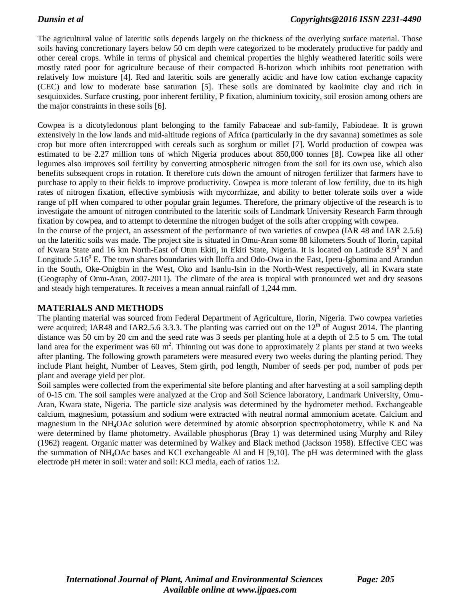The agricultural value of lateritic soils depends largely on the thickness of the overlying surface material. Those soils having concretionary layers below 50 cm depth were categorized to be moderately productive for paddy and other cereal crops. While in terms of physical and chemical properties the highly weathered lateritic soils were mostly rated poor for agriculture because of their compacted B-horizon which inhibits root penetration with relatively low moisture [4]. Red and lateritic soils are generally acidic and have low cation exchange capacity (CEC) and low to moderate base saturation [5]. These soils are dominated by kaolinite clay and rich in sesquioxides. Surface crusting, poor inherent fertility, P fixation, aluminium toxicity, soil erosion among others are the major constraints in these soils [6].

Cowpea is a dicotyledonous plant belonging to the family Fabaceae and sub-family, Fabiodeae. It is grown extensively in the low lands and mid-altitude regions of Africa (particularly in the dry savanna) sometimes as sole crop but more often intercropped with cereals such as sorghum or millet [7]. World production of cowpea was estimated to be 2.27 million tons of which Nigeria produces about 850,000 tonnes [8]. Cowpea like all other legumes also improves soil fertility by converting atmospheric nitrogen from the soil for its own use, which also benefits subsequent crops in rotation. It therefore cuts down the amount of nitrogen fertilizer that farmers have to purchase to apply to their fields to improve productivity. Cowpea is more tolerant of low fertility, due to its high rates of nitrogen fixation, effective symbiosis with mycorrhizae, and ability to better tolerate soils over a wide range of pH when compared to other popular grain legumes. Therefore, the primary objective of the research is to investigate the amount of nitrogen contributed to the lateritic soils of Landmark University Research Farm through fixation by cowpea, and to attempt to determine the nitrogen budget of the soils after cropping with cowpea.

In the course of the project, an assessment of the performance of two varieties of cowpea (IAR 48 and IAR 2.5.6) on the lateritic soils was made. The project site is situated in Omu-Aran some 88 kilometers South of Ilorin, capital of Kwara State and 16 km North-East of Otun Ekiti, in Ekiti State, Nigeria. It is located on Latitude 8.9<sup>0</sup> N and Longitude 5.16 $^{0}$  E. The town shares boundaries with Iloffa and Odo-Owa in the East, Ipetu-Igbomina and Arandun in the South, Oke-Onigbin in the West, Oko and Isanlu-Isin in the North-West respectively, all in Kwara state (Geography of Omu-Aran, 2007-2011). The climate of the area is tropical with pronounced wet and dry seasons and steady high temperatures. It receives a mean annual rainfall of 1,244 mm.

# **MATERIALS AND METHODS**

The planting material was sourced from Federal Department of Agriculture, Ilorin, Nigeria. Two cowpea varieties were acquired; IAR48 and IAR2.5.6 3.3.3. The planting was carried out on the  $12<sup>th</sup>$  of August 2014. The planting distance was 50 cm by 20 cm and the seed rate was 3 seeds per planting hole at a depth of 2.5 to 5 cm. The total land area for the experiment was 60  $m^2$ . Thinning out was done to approximately 2 plants per stand at two weeks after planting. The following growth parameters were measured every two weeks during the planting period. They include Plant height, Number of Leaves, Stem girth, pod length, Number of seeds per pod, number of pods per plant and average yield per plot.

Soil samples were collected from the experimental site before planting and after harvesting at a soil sampling depth of 0-15 cm. The soil samples were analyzed at the Crop and Soil Science laboratory, Landmark University, Omu-Aran, Kwara state, Nigeria. The particle size analysis was determined by the hydrometer method. Exchangeable calcium, magnesium, potassium and sodium were extracted with neutral normal ammonium acetate. Calcium and magnesium in the NH4OAc solution were determined by atomic absorption spectrophotometry, while K and Na were determined by flame photometry. Available phosphorus (Bray 1) was determined using Murphy and Riley (1962) reagent. Organic matter was determined by Walkey and Black method (Jackson 1958). Effective CEC was the summation of NH4OAc bases and KCl exchangeable Al and H [9,10]. The pH was determined with the glass electrode pH meter in soil: water and soil: KCl media, each of ratios 1:2.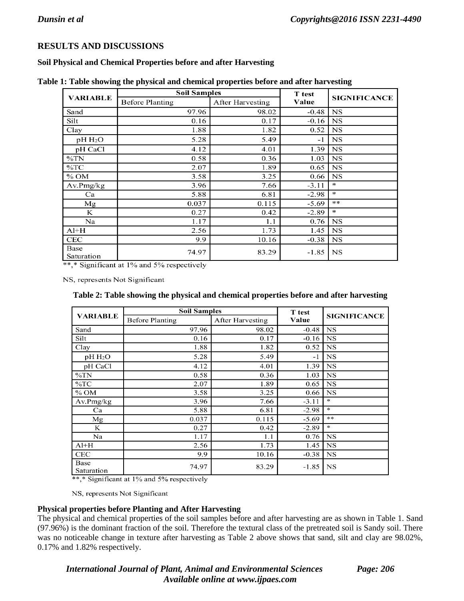# **RESULTS AND DISCUSSIONS**

### **Soil Physical and Chemical Properties before and after Harvesting**

|                    | <b>Soil Samples</b>    | T test                  |         |                     |  |
|--------------------|------------------------|-------------------------|---------|---------------------|--|
| <b>VARIABLE</b>    | <b>Before Planting</b> | <b>After Harvesting</b> | Value   | <b>SIGNIFICANCE</b> |  |
| Sand               | 97.96                  | 98.02                   | $-0.48$ | <b>NS</b>           |  |
| Silt               | 0.16                   | 0.17                    | $-0.16$ | <b>NS</b>           |  |
| Clay               | 1.88                   | 1.82                    | 0.52    | <b>NS</b>           |  |
| $pH H_2O$          | 5.28                   | 5.49                    | $-1$    | <b>NS</b>           |  |
| pH CaCl            | 4.12                   | 4.01                    | 1.39    | NS                  |  |
| $\%TN$             | 0.58                   | 0.36                    | 1.03    | <b>NS</b>           |  |
| $\%$ TC            | 2.07                   | 1.89                    | 0.65    | <b>NS</b>           |  |
| $\%$ OM            | 3.58                   | 3.25                    | 0.66    | NS                  |  |
| Av.Pmg/kg          | 3.96                   | 7.66                    | $-3.11$ | *                   |  |
| Ca                 | 5.88                   | 6.81                    | $-2.98$ | эk                  |  |
| Mg                 | 0.037                  | 0.115                   | $-5.69$ | **                  |  |
| K                  | 0.27                   | 0.42                    | $-2.89$ | ∗                   |  |
| Na                 | 1.17                   | 1.1                     | 0.76    | <b>NS</b>           |  |
| $Al+H$             | 2.56                   | 1.73                    | 1.45    | <b>NS</b>           |  |
| <b>CEC</b>         | 9.9                    | 10.16                   | $-0.38$ | <b>NS</b>           |  |
| Base<br>Saturation | 74.97                  | 83.29                   | $-1.85$ | <b>NS</b>           |  |

**Table 1: Table showing the physical and chemical properties before and after harvesting**

\*\*,\* Significant at 1% and 5% respectively

NS, represents Not Significant

|  |  |  | Table 2: Table showing the physical and chemical properties before and after harvesting |  |  |
|--|--|--|-----------------------------------------------------------------------------------------|--|--|
|  |  |  |                                                                                         |  |  |

| <b>VARIABLE</b>    | <b>Soil Samples</b>    | <b>T</b> test           |         |                     |
|--------------------|------------------------|-------------------------|---------|---------------------|
|                    | <b>Before Planting</b> | <b>After Harvesting</b> | Value   | <b>SIGNIFICANCE</b> |
| Sand               | 97.96                  | 98.02                   | $-0.48$ | <b>NS</b>           |
| Silt               | 0.16                   | 0.17                    | $-0.16$ | <b>NS</b>           |
| Clay               | 1.88                   | 1.82                    | 0.52    | <b>NS</b>           |
| $pH H_2O$          | 5.28                   | 5.49                    | $-1$    | <b>NS</b>           |
| pH CaCl            | 4.12                   | 4.01                    | 1.39    | <b>NS</b>           |
| $\%TN$             | 0.58                   | 0.36                    | 1.03    | <b>NS</b>           |
| $\%TC$             | 2.07                   | 1.89                    | 0.65    | <b>NS</b>           |
| $%$ OM             | 3.58                   | 3.25                    | 0.66    | <b>NS</b>           |
| Av.Pmg/kg          | 3.96                   | 7.66                    | $-3.11$ | $\ast$              |
| Ca                 | 5.88                   | 6.81                    | $-2.98$ | ×.                  |
| Mg                 | 0.037                  | 0.115                   | $-5.69$ | $**$                |
| K                  | 0.27                   | 0.42                    | $-2.89$ | *                   |
| Na                 | 1.17                   | 1.1                     | 0.76    | <b>NS</b>           |
| $Al+H$             | 2.56                   | 1.73                    | 1.45    | <b>NS</b>           |
| CEC                | 9.9                    | 10.16                   | $-0.38$ | <b>NS</b>           |
| Base<br>Saturation | 74.97                  | 83.29                   | $-1.85$ | NS                  |

\*\*,\* Significant at 1% and 5% respectively

NS, represents Not Significant

#### **Physical properties before Planting and After Harvesting**

The physical and chemical properties of the soil samples before and after harvesting are as shown in Table 1. Sand (97.96%) is the dominant fraction of the soil. Therefore the textural class of the pretreated soil is Sandy soil. There was no noticeable change in texture after harvesting as Table 2 above shows that sand, silt and clay are 98.02%, 0.17% and 1.82% respectively.

*International Journal of Plant, Animal and Environmental Sciences Page: 206 Available online at [www.ijpaes.com](http://www.ijpaes.com/)*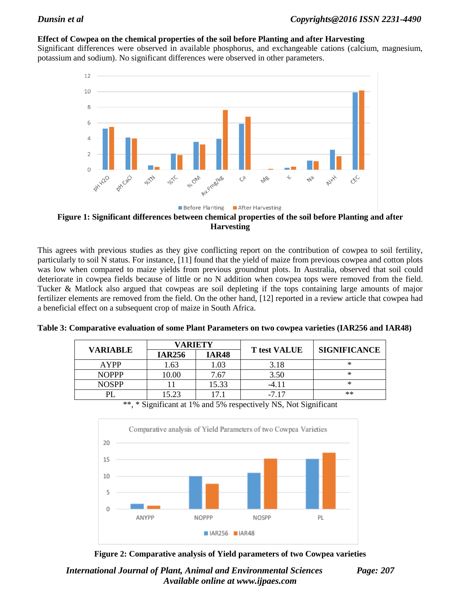### **Effect of Cowpea on the chemical properties of the soil before Planting and after Harvesting**

Significant differences were observed in available phosphorus, and exchangeable cations (calcium, magnesium, potassium and sodium). No significant differences were observed in other parameters.



**Figure 1: Significant differences between chemical properties of the soil before Planting and after Harvesting**

This agrees with previous studies as they give conflicting report on the contribution of cowpea to soil fertility, particularly to soil N status. For instance, [11] found that the yield of maize from previous cowpea and cotton plots was low when compared to maize yields from previous groundnut plots. In Australia, observed that soil could deteriorate in cowpea fields because of little or no N addition when cowpea tops were removed from the field. Tucker & Matlock also argued that cowpeas are soil depleting if the tops containing large amounts of major fertilizer elements are removed from the field. On the other hand, [12] reported in a review article that cowpea had a beneficial effect on a subsequent crop of maize in South Africa.

|                 | <b>VARIETY</b> |              |                     | <b>SIGNIFICANCE</b> |  |
|-----------------|----------------|--------------|---------------------|---------------------|--|
| <b>VARIABLE</b> | <b>IAR256</b>  | <b>IAR48</b> | <b>T</b> test VALUE |                     |  |
| AYPP            | 1.63           | 1.03         | 3.18                | $*$                 |  |
| <b>NOPPP</b>    | 10.00          | 7.67         | 3.50                | $*$                 |  |
| <b>NOSPP</b>    |                | 15.33        | -4.11               | $*$                 |  |
|                 | 15.23          | $7^{\circ}$  | $-717$              | $**$                |  |

**Table 3: Comparative evaluation of some Plant Parameters on two cowpea varieties (IAR256 and IAR48)**

\*\*, \* Significant at 1% and 5% respectively NS, Not Significant



**Figure 2: Comparative analysis of Yield parameters of two Cowpea varieties**

*International Journal of Plant, Animal and Environmental Sciences Page: 207 Available online at [www.ijpaes.com](http://www.ijpaes.com/)*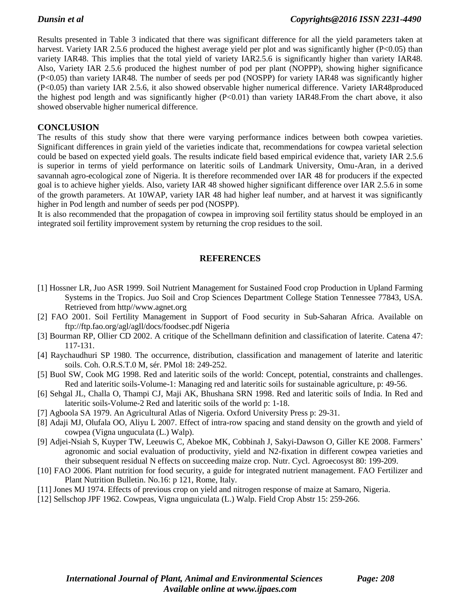Results presented in Table 3 indicated that there was significant difference for all the yield parameters taken at harvest. Variety IAR 2.5.6 produced the highest average yield per plot and was significantly higher (P<0.05) than variety IAR48. This implies that the total yield of variety IAR2.5.6 is significantly higher than variety IAR48. Also, Variety IAR 2.5.6 produced the highest number of pod per plant (NOPPP), showing higher significance (P<0.05) than variety IAR48. The number of seeds per pod (NOSPP) for variety IAR48 was significantly higher (P<0.05) than variety IAR 2.5.6, it also showed observable higher numerical difference. Variety IAR48produced the highest pod length and was significantly higher (P<0.01) than variety IAR48.From the chart above, it also showed observable higher numerical difference.

#### **CONCLUSION**

The results of this study show that there were varying performance indices between both cowpea varieties. Significant differences in grain yield of the varieties indicate that, recommendations for cowpea varietal selection could be based on expected yield goals. The results indicate field based empirical evidence that, variety IAR 2.5.6 is superior in terms of yield performance on lateritic soils of Landmark University, Omu-Aran, in a derived savannah agro-ecological zone of Nigeria. It is therefore recommended over IAR 48 for producers if the expected goal is to achieve higher yields. Also, variety IAR 48 showed higher significant difference over IAR 2.5.6 in some of the growth parameters. At 10WAP, variety IAR 48 had higher leaf number, and at harvest it was significantly higher in Pod length and number of seeds per pod (NOSPP).

It is also recommended that the propagation of cowpea in improving soil fertility status should be employed in an integrated soil fertility improvement system by returning the crop residues to the soil.

#### **REFERENCES**

- [1] Hossner LR, Juo ASR 1999. Soil Nutrient Management for Sustained Food crop Production in Upland Farming Systems in the Tropics. Juo Soil and Crop Sciences Department College Station Tennessee 77843, USA. Retrieved from http//www.agnet.org
- [2] FAO 2001. Soil Fertility Management in Support of Food security in Sub-Saharan Africa. Available on ftp://ftp.fao.org/agl/agll/docs/foodsec.pdf Nigeria
- [3] Bourman RP, Ollier CD 2002. A critique of the Schellmann definition and classification of laterite. Catena 47: 117-131.
- [4] Raychaudhuri SP 1980. The occurrence, distribution, classification and management of laterite and lateritic soils. Coh. O.R.S.T.0 M, sér. PMol 18: 249-252.
- [5] Buol SW, Cook MG 1998. Red and lateritic soils of the world: Concept, potential, constraints and challenges. Red and lateritic soils-Volume-1: Managing red and lateritic soils for sustainable agriculture, p: 49-56.
- [6] Sehgal JL, Challa O, Thampi CJ, Maji AK, Bhushana SRN 1998. Red and lateritic soils of India. In Red and lateritic soils-Volume-2 Red and lateritic soils of the world p: 1-18.
- [7] Agboola SA 1979. An Agricultural Atlas of Nigeria. Oxford University Press p: 29-31.
- [8] Adaji MJ, Olufala OO, Aliyu L 2007. Effect of intra-row spacing and stand density on the growth and yield of cowpea (Vigna unguculata (L.) Walp).
- [9] Adjei-Nsiah S, Kuyper TW, Leeuwis C, Abekoe MK, Cobbinah J, Sakyi-Dawson O, Giller KE 2008. Farmers' agronomic and social evaluation of productivity, yield and N2-fixation in different cowpea varieties and their subsequent residual N effects on succeeding maize crop. Nutr. Cycl. Agroecosyst 80: 199-209.
- [10] FAO 2006. Plant nutrition for food security, a guide for integrated nutrient management. FAO Fertilizer and Plant Nutrition Bulletin. No.16: p 121, Rome, Italy.
- [11] Jones MJ 1974. Effects of previous crop on yield and nitrogen response of maize at Samaro, Nigeria.
- [12] Sellschop JPF 1962. Cowpeas, Vigna unguiculata (L.) Walp. Field Crop Abstr 15: 259-266.